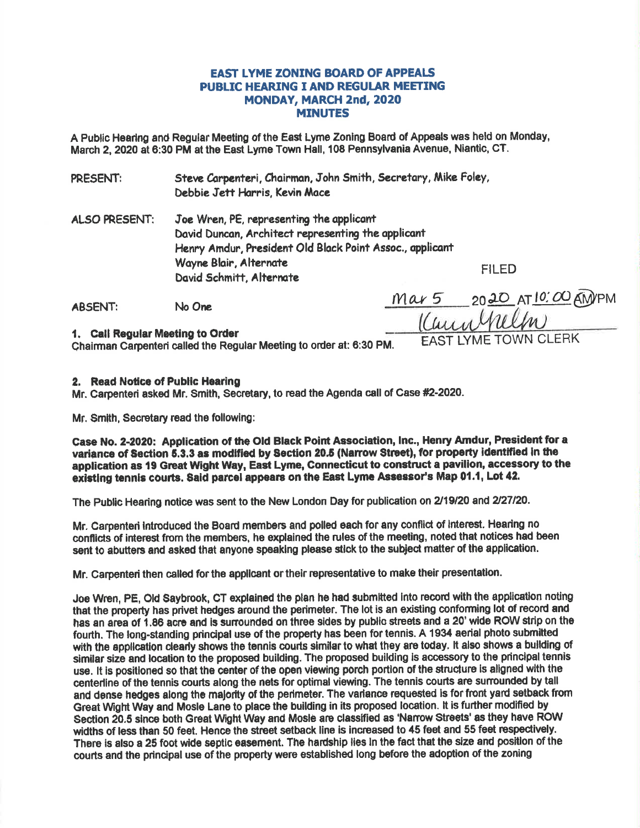# **EAST LYME ZÖNING BOARD OF APPEALS PUBLIC HEARING I AND REGULAR MEETING MONDAY, MARCH 2nd, 2020 MINUTES**

A Public Hearing and Regular Meeting of the East Lyme Zoning Board of Appeals was held on Monday, March 2, 2020 at 6:30 PM at the East Lyme Town Hall, 108 Pennsylvania Avenue, Niantic, CT.

Steve Carpenteri, Chairman, John Smith, Secretary, Mike Foley, PRESENT: Debbie Jett Harris, Kevin Mace

Joe Wren, PE, representing the applicant **ALSO PRESENT:** David Duncan, Architect representing the applicant Henry Amdur, President Old Black Point Assoc., applicant Wayne Blair, Alternate David Schmitt, Alternate

**FILED** 

**ABSENT:** No One

Mar 5 2020 AT 10:00 AMPM Kunnhelm **I YMF TOWN CLERK** 

1. Call Regular Meeting to Order

Chairman Carpenteri called the Regular Meeting to order at: 6:30 PM.

## 2. Read Notice of Public Hearing

Mr. Carpenteri asked Mr. Smith, Secretary, to read the Agenda call of Case #2-2020.

Mr. Smith, Secretary read the following:

Case No. 2-2020: Application of the Old Black Point Association, Inc., Henry Amdur, President for a variance of Section 5.3.3 as modified by Section 20.5 (Narrow Street), for property identified in the application as 19 Great Wight Way, East Lyme, Connecticut to construct a pavilion, accessory to the existing tennis courts. Said parcel appears on the East Lyme Assessor's Map 01.1, Lot 42.

The Public Hearing notice was sent to the New London Day for publication on 2/19/20 and 2/27/20.

Mr. Carpenten introduced the Board members and polled each for any conflict of interest. Hearing no conflicts of interest from the members, he explained the rules of the meeting, noted that notices had been sent to abutters and asked that anyone speaking please stick to the subject matter of the application.

Mr. Carpenteri then called for the applicant or their representative to make their presentation.

Joe Wren, PE, Old Saybrook, CT explained the plan he had submitted into record with the application noting that the property has privet hedges around the perimeter. The lot is an existing conforming lot of record and has an area of 1.86 acre and is surrounded on three sides by public streets and a 20' wide ROW strip on the fourth. The long-standing principal use of the property has been for tennis. A 1934 aerial photo submitted with the application clearly shows the tennis courts similar to what they are today. It also shows a building of similar size and location to the proposed building. The proposed building is accessory to the principal tennis use. It is positioned so that the center of the open viewing porch portion of the structure is aligned with the centerline of the tennis courts along the nets for optimal viewing. The tennis courts are surrounded by tall and dense hedges along the majority of the perimeter. The variance requested is for front yard setback from Great Wight Way and Mosle Lane to place the building in its proposed location. It is further modified by Section 20.5 since both Great Wight Way and Mosle are classified as 'Narrow Streets' as they have ROW widths of less than 50 feet. Hence the street setback line is increased to 45 feet and 55 feet respectively. There is also a 25 foot wide septic easement. The hardship lies in the fact that the size and position of the courts and the principal use of the property were established long before the adoption of the zoning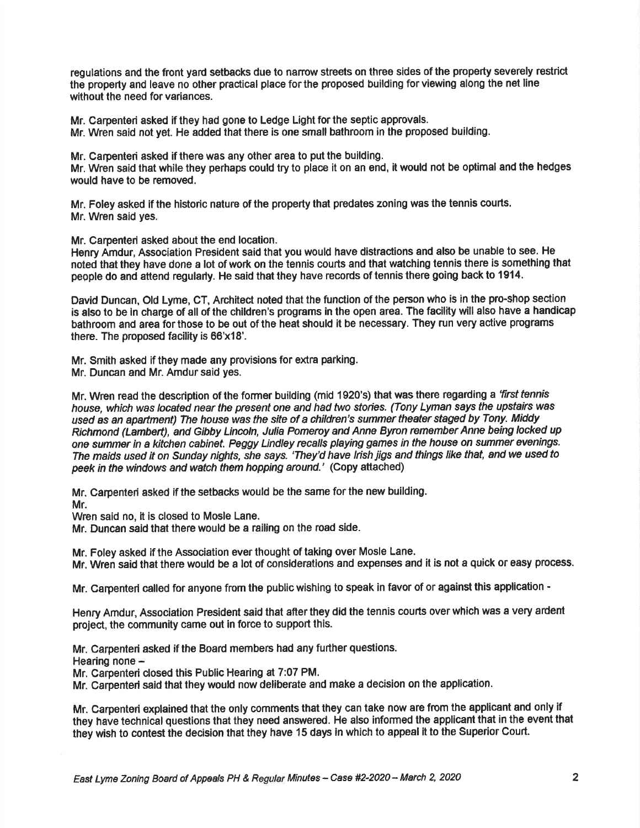regulations and the front yard setbacks due to narow streets on three sides of the property severely restrict the property and leave no other practical place for the proposed building for viewing along the net line without the need for variances.

Mr. Carpenteri asked if they had gone to Ledge Light for the septic approvals.

Mr. Wren said not yet. He added that there is one small bathroom in the proposed building.

Mr. Carpenteri asked if there was any other area to put the building.

Mr. Wren said that while they perhaps could try to place it on an end, it would not be optimal and the hedges would have to be removed.

Mr. Foley asked if the historic nature of the property that predates zoning was the tennis courts. Mr. Wren said yes.

Mr. Carpenteri asked about the end location.

Henry Amdur, Association President said that you would have distractions and also be unable to see, He noted that they have done a lot of work on the tennis courts and that watching tennis there is something that pegple do and attend regularly. He said that they have records of tennis there going back to 1914.

David Duncan, Old Lyme, CT, Architect noted that the function of the person who is in the pro-shop section is also to be ln charge of all of the children's programs in the open area. The facility will also have a handicap bathroom and area for those to be out of the heat should it be necessary. They run very active programs there. The proposed facility is 66'x18'.

Mr. Smith asked if they made any provisions for extra parking. Mr. Duncan and Mr. Amdur said yes.

Mr. Wren read the description of the former building (mid 1920's) that was there regarding a 'first tennis house, which was located near the present one and had two stories. (Tony Lyman says the upstairs was used as an apartment) The house was the site of a children's summer theater staged by Tony. Middy Richmond (Lambert), and Gibby Lincoln, Julia Pomeroy and Anne Byron remember Anne being locked up one summer in a kitchen cabinet. Peggy Lindley recalls playing games in the house on summer evenings. The maids used it on Sunday nights, she says. 'They'd have Irish jigs and things like that, and we used to peek in the windows and watch them hopping around.' (Copy attached)

Mr. Carpenteri asked if the setbacks would be the same forthe new building. Mr.

Wren said no, it is closed to Mosle Lane.

Mr. Duncan said that there would be a railing on the road side.

Mr. Foley asked if the Association ever thought of taking over Mosle Lane.

Mr. Wren said that there would be a lot of considerations and expenses and it is not a quick or easy process.

Mr. Carpenteri called for anyone from the public wishing to speak in favor of or against this application -

Henry Amdur, Association President said that afier they did the tennis courts over which was a very ardent projest, the community came out in force to support thls.

Mr. Carpenteri asked if the Board members had any further questions.

Hearing none -

Mr. Carpenteri closed this Public Hearing at 7:07 PM.

Mr. Carpenteri said that they would now deliberate and make a decision on the application.

Mr. Carpenteri explained that the only comments that they can take now are fmm the applicant and only if they have technical questions that they need answered. He also informed the applicant that in the event that they wish to contest the decision that they have 15 days in which to appeal it to the Superior Court.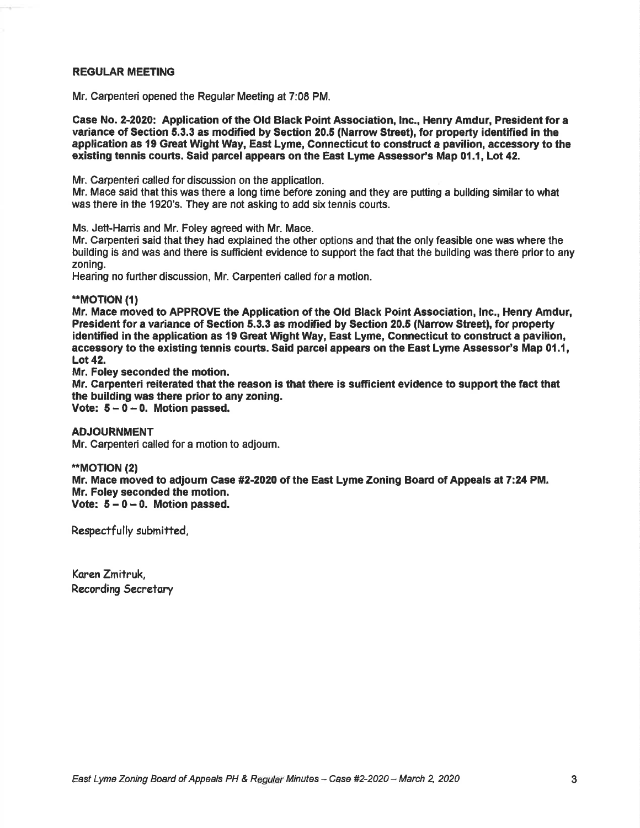#### **REGULAR MEETING**

Mr. Carpented opened the Regular Meeting at 7:08 PM.

Case No. 2-2020: Application of the Old Black Point Association, Inc., Henry Amdur, President for a variance of Section 5.3.3 as modified by Section 20.5 (Narrow Street), for property identified in the application as 19 Great Wight Way, East Lyme, Connecticut to construct a pavilion, accessory to the existing tennis courts. Said parcel appears on the East Lyme Assessor's Map 01.1, Lot 42.

Mr. Carpenteri called for discussion on the application.

Mr. Mace said that this was there a long time before zoning and they are putting a bullding similar to what was there in the 1920's. They are not asking to add six tennis courts.

Ms. Jett-Harris and Mr. Foley agreed with Mr. Mace.

Mr. Carpenteri said that they had explained the other options and that the only feasible one was where the building is and was and there is sufficient evidence to support the fact that the building was there prior to any zoning.

Hearing no further discussion, Mr. Carpenteri called for a motion.

### \*MOT|ON (t)

Mr. Mace moved to APPROVE the Application of the Old Black Point Association, lnc., Henry Amdur, President for a variance of Section 5.3.3 as modified by Section 20.5 (Narrow Street), for property identified in the application as 19 Great Wight Way, East Lyme, Gonnecticut to construct a pavilion, accessory to the existing tennis courts. Said parcel appears on the East Lyme Assessor's Map 0t.1, Lot 42.

Mr. Foley seconded the motion.

Mr. Carpenteri reiterated that the reason is that there is sufficient evidence to support the fact that the building was there prior to any zoning.

Vote:  $5 - 0 - 0$ . Motion passed.

ADJOURNMENT Mr. Garpenteri called for a motion to adjoum.

\*\*MOTION (2) Mr. Mace moved to adjoum Gase #2-2020 of the East Lyme Zoning Board of Appeals at 7:24 PM. Mr. Foley seconded the motion. Vote:  $5 - 0 - 0$ . Motion passed.

Respectfully submitted,

Koren Zmitruk, Recording Secretary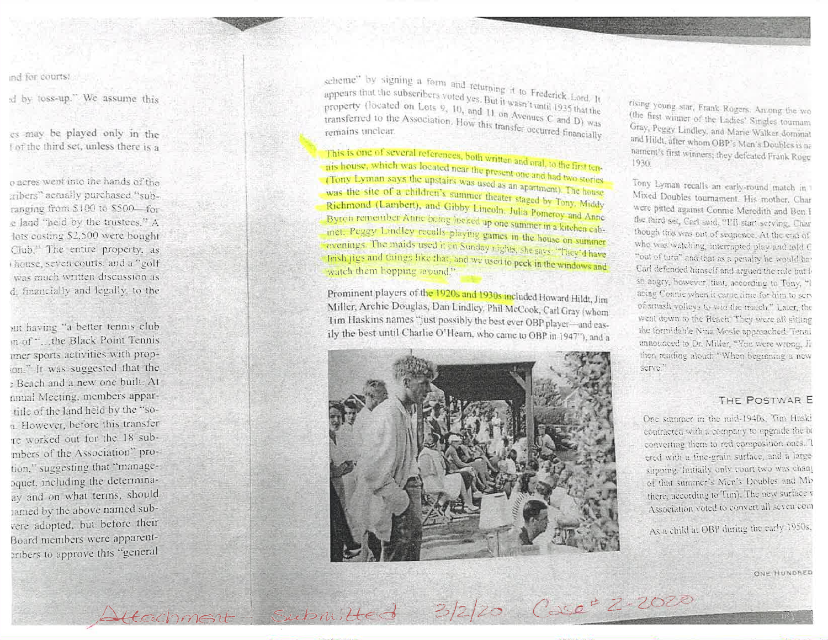ind for courts.

d by toss-up." We assume this

es may be played only in the Lof the third set, unless there is a

o acres went into the hands of the eribers" actually purchased "subranging from \$100 to \$500-for e land "held by the trustees," A lots costing \$2,500 were bought Club," The entire property, as thouse, seven courts, and a "golf was much written discussion as d. financially and legally, to the

iut having "a better tennis club in of "... the Black Point Tennis uner sports activities with propion." It was suggested that the Beach and a new one built. At nnual Meeting, members appartitle of the land held by the "son. However, before this transfer re worked out for the 18 submbers of the Association" protion," suggesting that "managepquet, including the determinaay and on what terms, should ramed by the above named subvere adopted, but before their Board members were apparentcribers to approve this "general

scheme" by signing a form and returning it to Frederick Lord, It appears that the subscribers voted yes. But it wasn't until 1935 that the property (located on Lots  $9, 10,$  and 11 on Avenues C and D) was transferred to the Association. How this transfer occurred financially

Attachment Submitted 3/2/20 Case<sup>+</sup> Z-2020

This is one of several references, both written and oral, to the first tennis house, which was located near the present one and had two stories. (Tony Lyman says the upstairs was used as an apartment). The house was the site of a children's summer theater staged by Tony, Middy Richmond (Lambert), and Gibby Lincoln, Julia Pomeroy and Anne Bygon remember Anne being locked up one summer in a kitchen cabinet. Peggy Lindley recalls playing games in the house on summer evenings. The maids used it on Sunday nights, she says: "They'd have frish jigs and things like that, and we used to peek in the windows and watch them hopping around."

Prominent players of the 1920s and 1930s included Howard Hildt, Jim Miller, Archie Douglas, Dan Lindley, Phil McCook, Carl Gray (whom Tim Haskins names "just possibly the best ever OBP player-and easily the best until Charlie O'Hearn, who came to OBP in 1947"), and a



rising young star, Frank Rogers. Among the wo (the first winner of the Ladies' Singles tournam Gray, Peggy Lindley, and Marie Walker dominal and Hildt, after whom OBP's Men's Doubles is no nament's first winners; they defeated Frank Roge 1930.

Tony Lyman recalls an early-round match in Mixed Doubles tournament. His mother, Char were pitted against Connie Meredith and Ben I the third set, Carl said, "I'll start serving, Char though this was out of sequence. At the end of who was watching, interrupted play and told C "out of turn" and that as a penalty he would hav Carl defended himself and argued the rule but b so angry, however, that, according to Tony, "I acing Connie when it came time for him to serv of smash volleys to win the match." Later, the went down to the Beach. They were all sitting the formidable Nina Mosle approached. Tenni announced to Dr. Miller, "You were wrong. Ji then reading aboud. "When beginning a new serve."

### THE POSTWAR E

One summer in the mid-1940s. Tim Huski contracted with a company to upgrade the bi converting them to red composition ones. I ered with a fine-grain surface, and a largeslipping. Initially only court two was chang of that summer's Men's Doubles and Mb there, according to Tim). The new surface v Association voted to convert all seven com

As a child at OBP during the early 1950s,

ONE HUNDRED